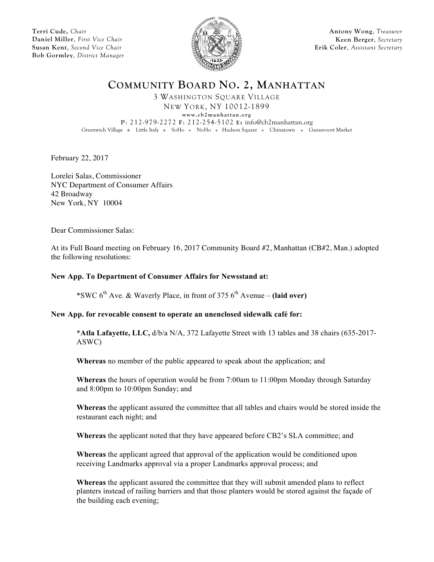**Terri Cude,** *Chair* **Daniel Miller**, *First Vice Chair* **Susan Kent**, *Second Vice Chair* **Bob Gormley**, *District Manager*



**Antony Wong**, *Treasurer* **Keen Berger**, *Secretary* **Erik Coler**, *Assistant Secretary*

**COMMUNITY BOARD NO. 2, MANHATTAN**

3 WASHINGTON SQUARE VILLAGE NEW YORK, NY 10012-1899 **w ww.cb2manhattan.org P**: 212-979-2272 **F**: 212-254-5102 **E:** info@cb2manhattan.org Greenwich Village • Little Italy • SoHo • NoHo • Hudson Square • Chinatown • Gansevoort Market

February 22, 2017

Lorelei Salas, Commissioner NYC Department of Consumer Affairs 42 Broadway New York, NY 10004

Dear Commissioner Salas:

At its Full Board meeting on February 16, 2017 Community Board #2, Manhattan (CB#2, Man.) adopted the following resolutions:

## **New App. To Department of Consumer Affairs for Newsstand at:**

\*SWC  $6<sup>th</sup>$  Ave. & Waverly Place, in front of 375  $6<sup>th</sup>$  Avenue – **(laid over)** 

# **New App. for revocable consent to operate an unenclosed sidewalk café for:**

**\*Atla Lafayette, LLC,** d/b/a N/A, 372 Lafayette Street with 13 tables and 38 chairs (635-2017- ASWC)

**Whereas** no member of the public appeared to speak about the application; and

**Whereas** the hours of operation would be from 7:00am to 11:00pm Monday through Saturday and 8:00pm to 10:00pm Sunday; and

**Whereas** the applicant assured the committee that all tables and chairs would be stored inside the restaurant each night; and

**Whereas** the applicant noted that they have appeared before CB2's SLA committee; and

**Whereas** the applicant agreed that approval of the application would be conditioned upon receiving Landmarks approval via a proper Landmarks approval process; and

**Whereas** the applicant assured the committee that they will submit amended plans to reflect planters instead of railing barriers and that those planters would be stored against the façade of the building each evening;